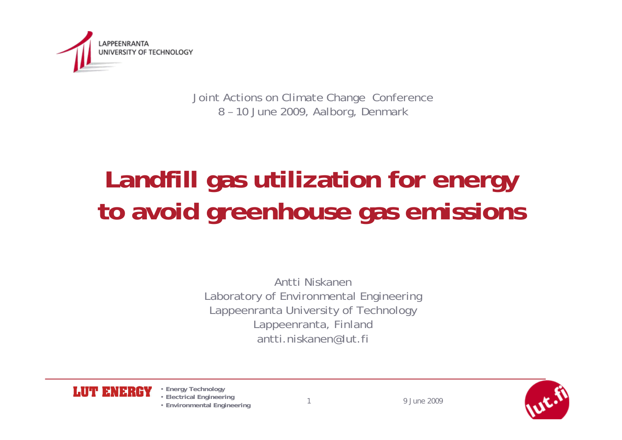

Joint Actions on Climate Change Conference 8 – 10 June 2009, Aalborg, Denmark

# **Landfill gas utilization for energy to avoid greenhouse gas emissions**

Antti NiskanenLaboratory of Environmental Engineering Lappeenranta University of Technology Lappeenranta, Finland antti niskanen@lut fi



• **Energy Technology** • **Electrical Engineering**

• **Environmental Engineering** *<sup>1</sup> 9 June 2009*

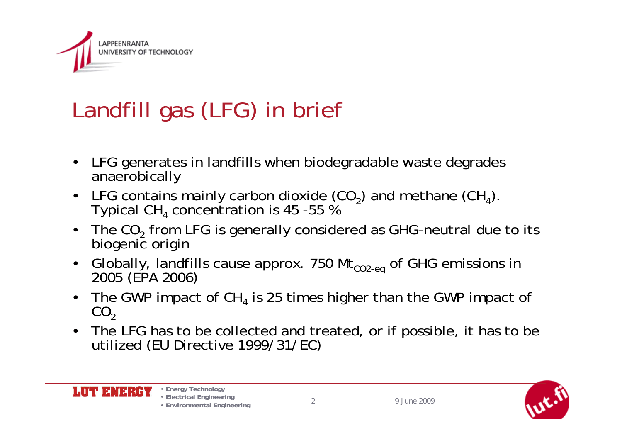

### Landfill gas (LFG) in brief

- LFG generates in landfills when biodegradable waste degrades anaerobically
- LFG contains mainly carbon dioxide (CO<sub>2</sub>) and methane (CH<sub>4</sub>).<br>Typical CH<sub>4</sub> concentration is 45 -55 %
- The  $CO<sub>2</sub>$  from LFG is generally considered as GHG-neutral due to its biogenic origin
- Globally, landfills cause approx. 750  $Mt_{CO2-eq}$  of GHG emissions in 2005 (EPA 2006)
- The GWP impact of CH<sub>4</sub> is 25 times higher than the GWP impact of  $CO<sub>2</sub>$
- The LFG has to be collected and treated, or if possible, it has to be utilized (EU Directive 1999/31/EC)







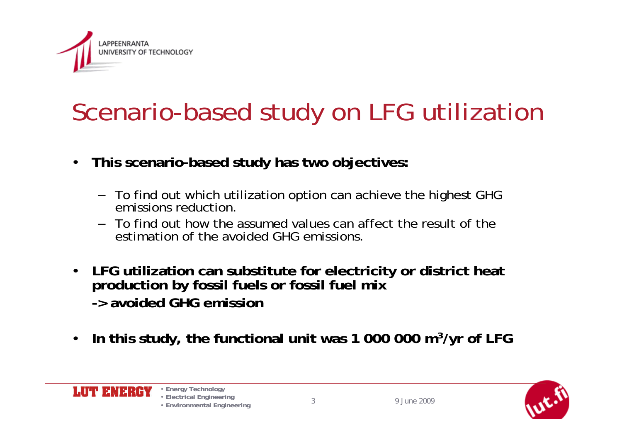

# Scenario-based study on LFG utilization

- **This scenario-based study has two objectives:** 
	- To find out which utilization option can achieve the highest GHG emissions reduction.
	- To find out how the assumed values can affect the result of the estimation of the avoided GHG emissions.
- **LFG utilization can substitute for electricity or district heat production by fossil fuels or fossil fuel mix -> avoided GHG emission**
- **In this study, the functional unit was 1 000 000 m3/yr of LFG**







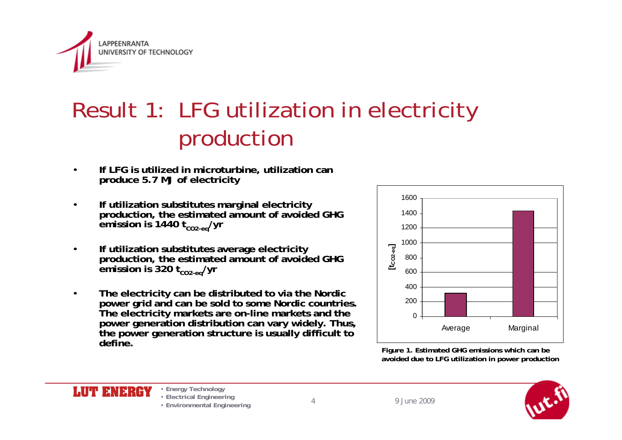

LUT ENERGY

#### Result 1: LFG utilization in electricity production

- **If LFG is utilized in microturbine, utilization can produce 5.7 MJ of electricity**
- **If utilization substitutes marginal electricity production, the estimated amount of avoided GHG**  emission is 1440 t<sub>co2-eq</sub>/yr
- **If utilization substitutes average electricity production, the estimated amount of avoided GHG**   $\frac{1}{2}$  emission is 320 t<sub>co2-eq</sub>/yr
- **The electricity can be distributed to via the Nordic power grid and can be sold to some Nordic countries. The electricity markets are on-line markets and the power generation distribution can vary widely. Thus, the power generation structure is usually difficult to define.**



**Figure 1. Estimated GHG emissions which can be avoided due to LFG utilization in power production** 



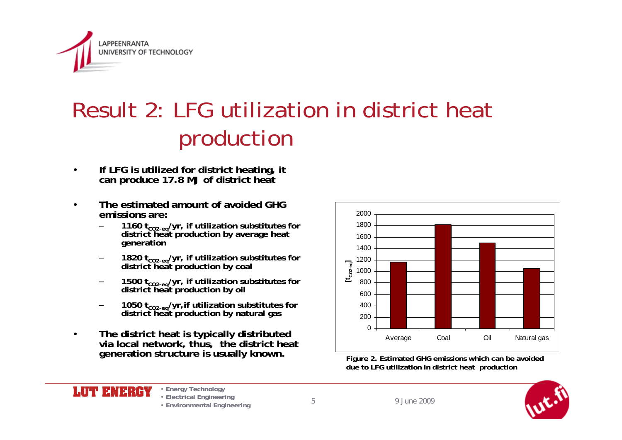

#### Result 2: LFG utilization in district heat production

- **If LFG is utilized for district heating, it can produce 17.8 MJ of district heat**
- **The estimated amount of avoided GHG emissions are:**
	- 1160 t<sub>co2-eq</sub>/yr, if utilization substitutes for district heat production by average heat **generation**
	- 1820 t<sub>co2-eq</sub>/yr, if utilization substitutes for district heat production by coal
	- 1500 t<sub>co2-eq</sub>/yr, if utilization substitutes for district heat production by oil
	- 1050 t<sub>co2-eq</sub>/yr,if utilization substitutes for district heat production by natural gas
- **The district heat is typically distributed via local network, thus, the district heat**  generation structure is usually known.<br>Figure 2. Estimated GHG emissions which can be avoided



**due to LFG utilization in district heat production** 



**LUT ENERGY** 

• **Electrical Engineering** • **Environmental Engineering** *<sup>5</sup>*